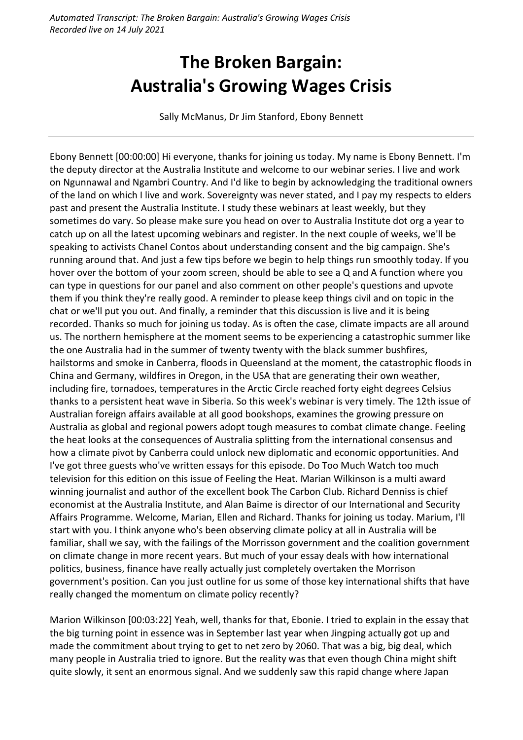## **The Broken Bargain: Australia's Growing Wages Crisis**

Sally McManus, Dr Jim Stanford, Ebony Bennett

Ebony Bennett [00:00:00] Hi everyone, thanks for joining us today. My name is Ebony Bennett. I'm the deputy director at the Australia Institute and welcome to our webinar series. I live and work on Ngunnawal and Ngambri Country. And I'd like to begin by acknowledging the traditional owners of the land on which I live and work. Sovereignty was never stated, and I pay my respects to elders past and present the Australia Institute. I study these webinars at least weekly, but they sometimes do vary. So please make sure you head on over to Australia Institute dot org a year to catch up on all the latest upcoming webinars and register. In the next couple of weeks, we'll be speaking to activists Chanel Contos about understanding consent and the big campaign. She's running around that. And just a few tips before we begin to help things run smoothly today. If you hover over the bottom of your zoom screen, should be able to see a Q and A function where you can type in questions for our panel and also comment on other people's questions and upvote them if you think they're really good. A reminder to please keep things civil and on topic in the chat or we'll put you out. And finally, a reminder that this discussion is live and it is being recorded. Thanks so much for joining us today. As is often the case, climate impacts are all around us. The northern hemisphere at the moment seems to be experiencing a catastrophic summer like the one Australia had in the summer of twenty twenty with the black summer bushfires, hailstorms and smoke in Canberra, floods in Queensland at the moment, the catastrophic floods in China and Germany, wildfires in Oregon, in the USA that are generating their own weather, including fire, tornadoes, temperatures in the Arctic Circle reached forty eight degrees Celsius thanks to a persistent heat wave in Siberia. So this week's webinar is very timely. The 12th issue of Australian foreign affairs available at all good bookshops, examines the growing pressure on Australia as global and regional powers adopt tough measures to combat climate change. Feeling the heat looks at the consequences of Australia splitting from the international consensus and how a climate pivot by Canberra could unlock new diplomatic and economic opportunities. And I've got three guests who've written essays for this episode. Do Too Much Watch too much television for this edition on this issue of Feeling the Heat. Marian Wilkinson is a multi award winning journalist and author of the excellent book The Carbon Club. Richard Denniss is chief economist at the Australia Institute, and Alan Baime is director of our International and Security Affairs Programme. Welcome, Marian, Ellen and Richard. Thanks for joining us today. Marium, I'll start with you. I think anyone who's been observing climate policy at all in Australia will be familiar, shall we say, with the failings of the Morrisson government and the coalition government on climate change in more recent years. But much of your essay deals with how international politics, business, finance have really actually just completely overtaken the Morrison government's position. Can you just outline for us some of those key international shifts that have really changed the momentum on climate policy recently?

Marion Wilkinson [00:03:22] Yeah, well, thanks for that, Ebonie. I tried to explain in the essay that the big turning point in essence was in September last year when Jingping actually got up and made the commitment about trying to get to net zero by 2060. That was a big, big deal, which many people in Australia tried to ignore. But the reality was that even though China might shift quite slowly, it sent an enormous signal. And we suddenly saw this rapid change where Japan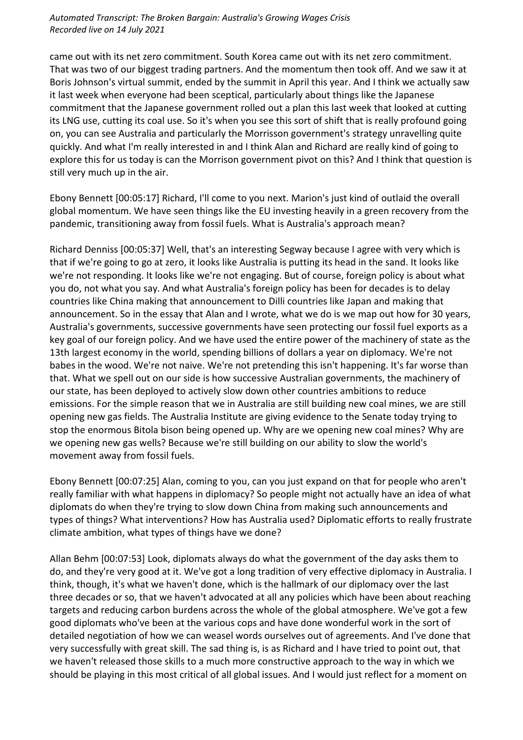came out with its net zero commitment. South Korea came out with its net zero commitment. That was two of our biggest trading partners. And the momentum then took off. And we saw it at Boris Johnson's virtual summit, ended by the summit in April this year. And I think we actually saw it last week when everyone had been sceptical, particularly about things like the Japanese commitment that the Japanese government rolled out a plan this last week that looked at cutting its LNG use, cutting its coal use. So it's when you see this sort of shift that is really profound going on, you can see Australia and particularly the Morrisson government's strategy unravelling quite quickly. And what I'm really interested in and I think Alan and Richard are really kind of going to explore this for us today is can the Morrison government pivot on this? And I think that question is still very much up in the air.

Ebony Bennett [00:05:17] Richard, I'll come to you next. Marion's just kind of outlaid the overall global momentum. We have seen things like the EU investing heavily in a green recovery from the pandemic, transitioning away from fossil fuels. What is Australia's approach mean?

Richard Denniss [00:05:37] Well, that's an interesting Segway because I agree with very which is that if we're going to go at zero, it looks like Australia is putting its head in the sand. It looks like we're not responding. It looks like we're not engaging. But of course, foreign policy is about what you do, not what you say. And what Australia's foreign policy has been for decades is to delay countries like China making that announcement to Dilli countries like Japan and making that announcement. So in the essay that Alan and I wrote, what we do is we map out how for 30 years, Australia's governments, successive governments have seen protecting our fossil fuel exports as a key goal of our foreign policy. And we have used the entire power of the machinery of state as the 13th largest economy in the world, spending billions of dollars a year on diplomacy. We're not babes in the wood. We're not naive. We're not pretending this isn't happening. It's far worse than that. What we spell out on our side is how successive Australian governments, the machinery of our state, has been deployed to actively slow down other countries ambitions to reduce emissions. For the simple reason that we in Australia are still building new coal mines, we are still opening new gas fields. The Australia Institute are giving evidence to the Senate today trying to stop the enormous Bitola bison being opened up. Why are we opening new coal mines? Why are we opening new gas wells? Because we're still building on our ability to slow the world's movement away from fossil fuels.

Ebony Bennett [00:07:25] Alan, coming to you, can you just expand on that for people who aren't really familiar with what happens in diplomacy? So people might not actually have an idea of what diplomats do when they're trying to slow down China from making such announcements and types of things? What interventions? How has Australia used? Diplomatic efforts to really frustrate climate ambition, what types of things have we done?

Allan Behm [00:07:53] Look, diplomats always do what the government of the day asks them to do, and they're very good at it. We've got a long tradition of very effective diplomacy in Australia. I think, though, it's what we haven't done, which is the hallmark of our diplomacy over the last three decades or so, that we haven't advocated at all any policies which have been about reaching targets and reducing carbon burdens across the whole of the global atmosphere. We've got a few good diplomats who've been at the various cops and have done wonderful work in the sort of detailed negotiation of how we can weasel words ourselves out of agreements. And I've done that very successfully with great skill. The sad thing is, is as Richard and I have tried to point out, that we haven't released those skills to a much more constructive approach to the way in which we should be playing in this most critical of all global issues. And I would just reflect for a moment on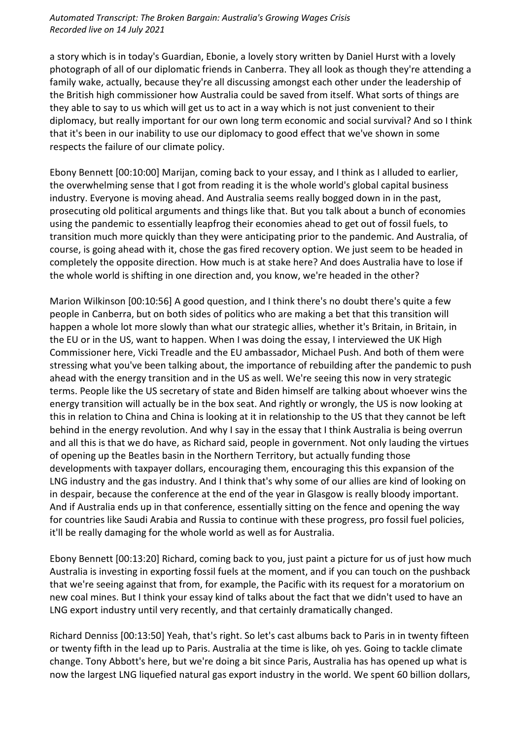a story which is in today's Guardian, Ebonie, a lovely story written by Daniel Hurst with a lovely photograph of all of our diplomatic friends in Canberra. They all look as though they're attending a family wake, actually, because they're all discussing amongst each other under the leadership of the British high commissioner how Australia could be saved from itself. What sorts of things are they able to say to us which will get us to act in a way which is not just convenient to their diplomacy, but really important for our own long term economic and social survival? And so I think that it's been in our inability to use our diplomacy to good effect that we've shown in some respects the failure of our climate policy.

Ebony Bennett [00:10:00] Marijan, coming back to your essay, and I think as I alluded to earlier, the overwhelming sense that I got from reading it is the whole world's global capital business industry. Everyone is moving ahead. And Australia seems really bogged down in in the past, prosecuting old political arguments and things like that. But you talk about a bunch of economies using the pandemic to essentially leapfrog their economies ahead to get out of fossil fuels, to transition much more quickly than they were anticipating prior to the pandemic. And Australia, of course, is going ahead with it, chose the gas fired recovery option. We just seem to be headed in completely the opposite direction. How much is at stake here? And does Australia have to lose if the whole world is shifting in one direction and, you know, we're headed in the other?

Marion Wilkinson [00:10:56] A good question, and I think there's no doubt there's quite a few people in Canberra, but on both sides of politics who are making a bet that this transition will happen a whole lot more slowly than what our strategic allies, whether it's Britain, in Britain, in the EU or in the US, want to happen. When I was doing the essay, I interviewed the UK High Commissioner here, Vicki Treadle and the EU ambassador, Michael Push. And both of them were stressing what you've been talking about, the importance of rebuilding after the pandemic to push ahead with the energy transition and in the US as well. We're seeing this now in very strategic terms. People like the US secretary of state and Biden himself are talking about whoever wins the energy transition will actually be in the box seat. And rightly or wrongly, the US is now looking at this in relation to China and China is looking at it in relationship to the US that they cannot be left behind in the energy revolution. And why I say in the essay that I think Australia is being overrun and all this is that we do have, as Richard said, people in government. Not only lauding the virtues of opening up the Beatles basin in the Northern Territory, but actually funding those developments with taxpayer dollars, encouraging them, encouraging this this expansion of the LNG industry and the gas industry. And I think that's why some of our allies are kind of looking on in despair, because the conference at the end of the year in Glasgow is really bloody important. And if Australia ends up in that conference, essentially sitting on the fence and opening the way for countries like Saudi Arabia and Russia to continue with these progress, pro fossil fuel policies, it'll be really damaging for the whole world as well as for Australia.

Ebony Bennett [00:13:20] Richard, coming back to you, just paint a picture for us of just how much Australia is investing in exporting fossil fuels at the moment, and if you can touch on the pushback that we're seeing against that from, for example, the Pacific with its request for a moratorium on new coal mines. But I think your essay kind of talks about the fact that we didn't used to have an LNG export industry until very recently, and that certainly dramatically changed.

Richard Denniss [00:13:50] Yeah, that's right. So let's cast albums back to Paris in in twenty fifteen or twenty fifth in the lead up to Paris. Australia at the time is like, oh yes. Going to tackle climate change. Tony Abbott's here, but we're doing a bit since Paris, Australia has has opened up what is now the largest LNG liquefied natural gas export industry in the world. We spent 60 billion dollars,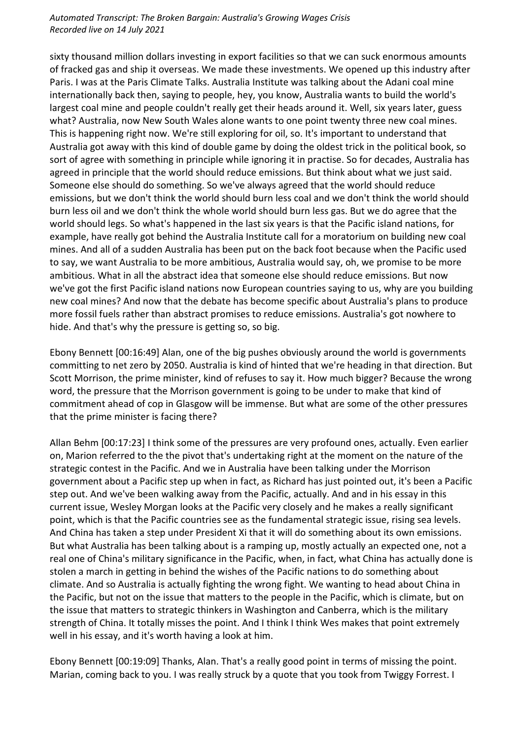sixty thousand million dollars investing in export facilities so that we can suck enormous amounts of fracked gas and ship it overseas. We made these investments. We opened up this industry after Paris. I was at the Paris Climate Talks. Australia Institute was talking about the Adani coal mine internationally back then, saying to people, hey, you know, Australia wants to build the world's largest coal mine and people couldn't really get their heads around it. Well, six years later, guess what? Australia, now New South Wales alone wants to one point twenty three new coal mines. This is happening right now. We're still exploring for oil, so. It's important to understand that Australia got away with this kind of double game by doing the oldest trick in the political book, so sort of agree with something in principle while ignoring it in practise. So for decades, Australia has agreed in principle that the world should reduce emissions. But think about what we just said. Someone else should do something. So we've always agreed that the world should reduce emissions, but we don't think the world should burn less coal and we don't think the world should burn less oil and we don't think the whole world should burn less gas. But we do agree that the world should legs. So what's happened in the last six years is that the Pacific island nations, for example, have really got behind the Australia Institute call for a moratorium on building new coal mines. And all of a sudden Australia has been put on the back foot because when the Pacific used to say, we want Australia to be more ambitious, Australia would say, oh, we promise to be more ambitious. What in all the abstract idea that someone else should reduce emissions. But now we've got the first Pacific island nations now European countries saying to us, why are you building new coal mines? And now that the debate has become specific about Australia's plans to produce more fossil fuels rather than abstract promises to reduce emissions. Australia's got nowhere to hide. And that's why the pressure is getting so, so big.

Ebony Bennett [00:16:49] Alan, one of the big pushes obviously around the world is governments committing to net zero by 2050. Australia is kind of hinted that we're heading in that direction. But Scott Morrison, the prime minister, kind of refuses to say it. How much bigger? Because the wrong word, the pressure that the Morrison government is going to be under to make that kind of commitment ahead of cop in Glasgow will be immense. But what are some of the other pressures that the prime minister is facing there?

Allan Behm [00:17:23] I think some of the pressures are very profound ones, actually. Even earlier on, Marion referred to the the pivot that's undertaking right at the moment on the nature of the strategic contest in the Pacific. And we in Australia have been talking under the Morrison government about a Pacific step up when in fact, as Richard has just pointed out, it's been a Pacific step out. And we've been walking away from the Pacific, actually. And and in his essay in this current issue, Wesley Morgan looks at the Pacific very closely and he makes a really significant point, which is that the Pacific countries see as the fundamental strategic issue, rising sea levels. And China has taken a step under President Xi that it will do something about its own emissions. But what Australia has been talking about is a ramping up, mostly actually an expected one, not a real one of China's military significance in the Pacific, when, in fact, what China has actually done is stolen a march in getting in behind the wishes of the Pacific nations to do something about climate. And so Australia is actually fighting the wrong fight. We wanting to head about China in the Pacific, but not on the issue that matters to the people in the Pacific, which is climate, but on the issue that matters to strategic thinkers in Washington and Canberra, which is the military strength of China. It totally misses the point. And I think I think Wes makes that point extremely well in his essay, and it's worth having a look at him.

Ebony Bennett [00:19:09] Thanks, Alan. That's a really good point in terms of missing the point. Marian, coming back to you. I was really struck by a quote that you took from Twiggy Forrest. I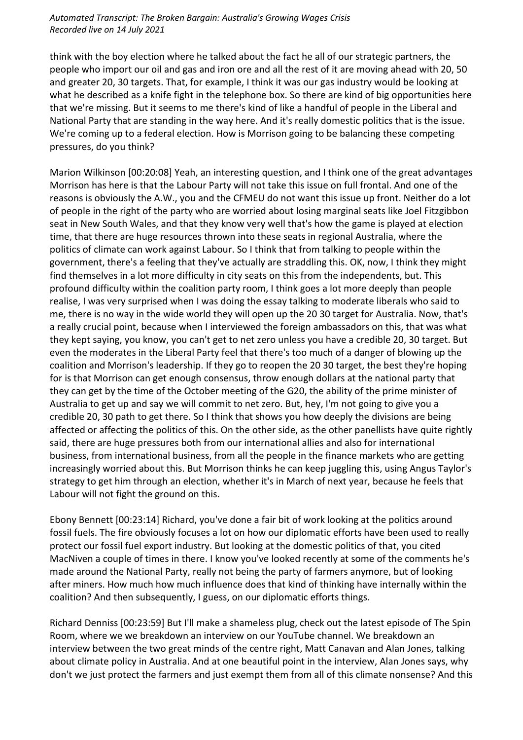think with the boy election where he talked about the fact he all of our strategic partners, the people who import our oil and gas and iron ore and all the rest of it are moving ahead with 20, 50 and greater 20, 30 targets. That, for example, I think it was our gas industry would be looking at what he described as a knife fight in the telephone box. So there are kind of big opportunities here that we're missing. But it seems to me there's kind of like a handful of people in the Liberal and National Party that are standing in the way here. And it's really domestic politics that is the issue. We're coming up to a federal election. How is Morrison going to be balancing these competing pressures, do you think?

Marion Wilkinson [00:20:08] Yeah, an interesting question, and I think one of the great advantages Morrison has here is that the Labour Party will not take this issue on full frontal. And one of the reasons is obviously the A.W., you and the CFMEU do not want this issue up front. Neither do a lot of people in the right of the party who are worried about losing marginal seats like Joel Fitzgibbon seat in New South Wales, and that they know very well that's how the game is played at election time, that there are huge resources thrown into these seats in regional Australia, where the politics of climate can work against Labour. So I think that from talking to people within the government, there's a feeling that they've actually are straddling this. OK, now, I think they might find themselves in a lot more difficulty in city seats on this from the independents, but. This profound difficulty within the coalition party room, I think goes a lot more deeply than people realise, I was very surprised when I was doing the essay talking to moderate liberals who said to me, there is no way in the wide world they will open up the 20 30 target for Australia. Now, that's a really crucial point, because when I interviewed the foreign ambassadors on this, that was what they kept saying, you know, you can't get to net zero unless you have a credible 20, 30 target. But even the moderates in the Liberal Party feel that there's too much of a danger of blowing up the coalition and Morrison's leadership. If they go to reopen the 20 30 target, the best they're hoping for is that Morrison can get enough consensus, throw enough dollars at the national party that they can get by the time of the October meeting of the G20, the ability of the prime minister of Australia to get up and say we will commit to net zero. But, hey, I'm not going to give you a credible 20, 30 path to get there. So I think that shows you how deeply the divisions are being affected or affecting the politics of this. On the other side, as the other panellists have quite rightly said, there are huge pressures both from our international allies and also for international business, from international business, from all the people in the finance markets who are getting increasingly worried about this. But Morrison thinks he can keep juggling this, using Angus Taylor's strategy to get him through an election, whether it's in March of next year, because he feels that Labour will not fight the ground on this.

Ebony Bennett [00:23:14] Richard, you've done a fair bit of work looking at the politics around fossil fuels. The fire obviously focuses a lot on how our diplomatic efforts have been used to really protect our fossil fuel export industry. But looking at the domestic politics of that, you cited MacNiven a couple of times in there. I know you've looked recently at some of the comments he's made around the National Party, really not being the party of farmers anymore, but of looking after miners. How much how much influence does that kind of thinking have internally within the coalition? And then subsequently, I guess, on our diplomatic efforts things.

Richard Denniss [00:23:59] But I'll make a shameless plug, check out the latest episode of The Spin Room, where we we breakdown an interview on our YouTube channel. We breakdown an interview between the two great minds of the centre right, Matt Canavan and Alan Jones, talking about climate policy in Australia. And at one beautiful point in the interview, Alan Jones says, why don't we just protect the farmers and just exempt them from all of this climate nonsense? And this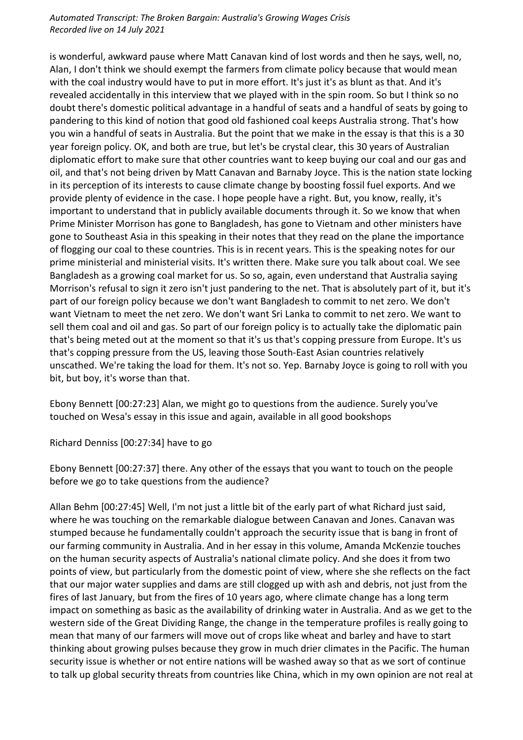is wonderful, awkward pause where Matt Canavan kind of lost words and then he says, well, no, Alan, I don't think we should exempt the farmers from climate policy because that would mean with the coal industry would have to put in more effort. It's just it's as blunt as that. And it's revealed accidentally in this interview that we played with in the spin room. So but I think so no doubt there's domestic political advantage in a handful of seats and a handful of seats by going to pandering to this kind of notion that good old fashioned coal keeps Australia strong. That's how you win a handful of seats in Australia. But the point that we make in the essay is that this is a 30 year foreign policy. OK, and both are true, but let's be crystal clear, this 30 years of Australian diplomatic effort to make sure that other countries want to keep buying our coal and our gas and oil, and that's not being driven by Matt Canavan and Barnaby Joyce. This is the nation state locking in its perception of its interests to cause climate change by boosting fossil fuel exports. And we provide plenty of evidence in the case. I hope people have a right. But, you know, really, it's important to understand that in publicly available documents through it. So we know that when Prime Minister Morrison has gone to Bangladesh, has gone to Vietnam and other ministers have gone to Southeast Asia in this speaking in their notes that they read on the plane the importance of flogging our coal to these countries. This is in recent years. This is the speaking notes for our prime ministerial and ministerial visits. It's written there. Make sure you talk about coal. We see Bangladesh as a growing coal market for us. So so, again, even understand that Australia saying Morrison's refusal to sign it zero isn't just pandering to the net. That is absolutely part of it, but it's part of our foreign policy because we don't want Bangladesh to commit to net zero. We don't want Vietnam to meet the net zero. We don't want Sri Lanka to commit to net zero. We want to sell them coal and oil and gas. So part of our foreign policy is to actually take the diplomatic pain that's being meted out at the moment so that it's us that's copping pressure from Europe. It's us that's copping pressure from the US, leaving those South-East Asian countries relatively unscathed. We're taking the load for them. It's not so. Yep. Barnaby Joyce is going to roll with you bit, but boy, it's worse than that.

Ebony Bennett [00:27:23] Alan, we might go to questions from the audience. Surely you've touched on Wesa's essay in this issue and again, available in all good bookshops

Richard Denniss [00:27:34] have to go

Ebony Bennett [00:27:37] there. Any other of the essays that you want to touch on the people before we go to take questions from the audience?

Allan Behm [00:27:45] Well, I'm not just a little bit of the early part of what Richard just said, where he was touching on the remarkable dialogue between Canavan and Jones. Canavan was stumped because he fundamentally couldn't approach the security issue that is bang in front of our farming community in Australia. And in her essay in this volume, Amanda McKenzie touches on the human security aspects of Australia's national climate policy. And she does it from two points of view, but particularly from the domestic point of view, where she she reflects on the fact that our major water supplies and dams are still clogged up with ash and debris, not just from the fires of last January, but from the fires of 10 years ago, where climate change has a long term impact on something as basic as the availability of drinking water in Australia. And as we get to the western side of the Great Dividing Range, the change in the temperature profiles is really going to mean that many of our farmers will move out of crops like wheat and barley and have to start thinking about growing pulses because they grow in much drier climates in the Pacific. The human security issue is whether or not entire nations will be washed away so that as we sort of continue to talk up global security threats from countries like China, which in my own opinion are not real at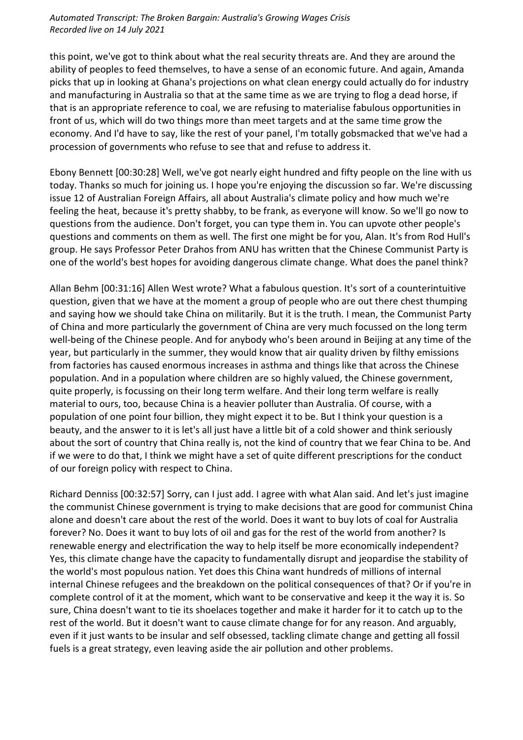this point, we've got to think about what the real security threats are. And they are around the ability of peoples to feed themselves, to have a sense of an economic future. And again, Amanda picks that up in looking at Ghana's projections on what clean energy could actually do for industry and manufacturing in Australia so that at the same time as we are trying to flog a dead horse, if that is an appropriate reference to coal, we are refusing to materialise fabulous opportunities in front of us, which will do two things more than meet targets and at the same time grow the economy. And I'd have to say, like the rest of your panel, I'm totally gobsmacked that we've had a procession of governments who refuse to see that and refuse to address it.

Ebony Bennett [00:30:28] Well, we've got nearly eight hundred and fifty people on the line with us today. Thanks so much for joining us. I hope you're enjoying the discussion so far. We're discussing issue 12 of Australian Foreign Affairs, all about Australia's climate policy and how much we're feeling the heat, because it's pretty shabby, to be frank, as everyone will know. So we'll go now to questions from the audience. Don't forget, you can type them in. You can upvote other people's questions and comments on them as well. The first one might be for you, Alan. It's from Rod Hull's group. He says Professor Peter Drahos from ANU has written that the Chinese Communist Party is one of the world's best hopes for avoiding dangerous climate change. What does the panel think?

Allan Behm [00:31:16] Allen West wrote? What a fabulous question. It's sort of a counterintuitive question, given that we have at the moment a group of people who are out there chest thumping and saying how we should take China on militarily. But it is the truth. I mean, the Communist Party of China and more particularly the government of China are very much focussed on the long term well-being of the Chinese people. And for anybody who's been around in Beijing at any time of the year, but particularly in the summer, they would know that air quality driven by filthy emissions from factories has caused enormous increases in asthma and things like that across the Chinese population. And in a population where children are so highly valued, the Chinese government, quite properly, is focussing on their long term welfare. And their long term welfare is really material to ours, too, because China is a heavier polluter than Australia. Of course, with a population of one point four billion, they might expect it to be. But I think your question is a beauty, and the answer to it is let's all just have a little bit of a cold shower and think seriously about the sort of country that China really is, not the kind of country that we fear China to be. And if we were to do that, I think we might have a set of quite different prescriptions for the conduct of our foreign policy with respect to China.

Richard Denniss [00:32:57] Sorry, can I just add. I agree with what Alan said. And let's just imagine the communist Chinese government is trying to make decisions that are good for communist China alone and doesn't care about the rest of the world. Does it want to buy lots of coal for Australia forever? No. Does it want to buy lots of oil and gas for the rest of the world from another? Is renewable energy and electrification the way to help itself be more economically independent? Yes, this climate change have the capacity to fundamentally disrupt and jeopardise the stability of the world's most populous nation. Yet does this China want hundreds of millions of internal internal Chinese refugees and the breakdown on the political consequences of that? Or if you're in complete control of it at the moment, which want to be conservative and keep it the way it is. So sure, China doesn't want to tie its shoelaces together and make it harder for it to catch up to the rest of the world. But it doesn't want to cause climate change for for any reason. And arguably, even if it just wants to be insular and self obsessed, tackling climate change and getting all fossil fuels is a great strategy, even leaving aside the air pollution and other problems.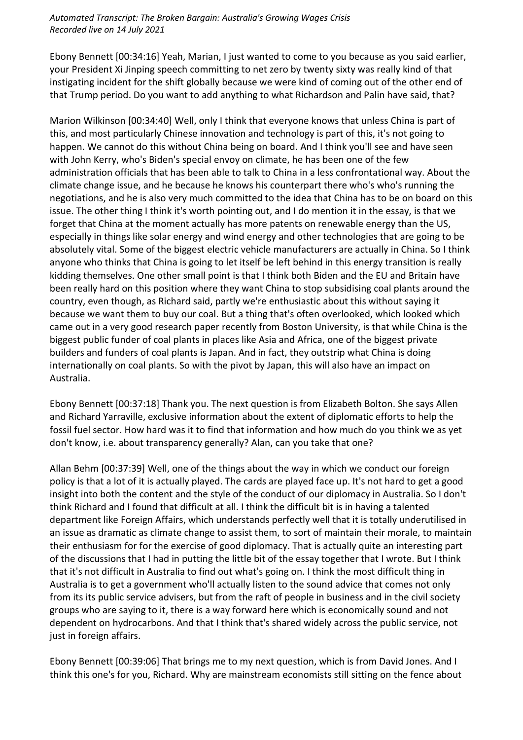Ebony Bennett [00:34:16] Yeah, Marian, I just wanted to come to you because as you said earlier, your President Xi Jinping speech committing to net zero by twenty sixty was really kind of that instigating incident for the shift globally because we were kind of coming out of the other end of that Trump period. Do you want to add anything to what Richardson and Palin have said, that?

Marion Wilkinson [00:34:40] Well, only I think that everyone knows that unless China is part of this, and most particularly Chinese innovation and technology is part of this, it's not going to happen. We cannot do this without China being on board. And I think you'll see and have seen with John Kerry, who's Biden's special envoy on climate, he has been one of the few administration officials that has been able to talk to China in a less confrontational way. About the climate change issue, and he because he knows his counterpart there who's who's running the negotiations, and he is also very much committed to the idea that China has to be on board on this issue. The other thing I think it's worth pointing out, and I do mention it in the essay, is that we forget that China at the moment actually has more patents on renewable energy than the US, especially in things like solar energy and wind energy and other technologies that are going to be absolutely vital. Some of the biggest electric vehicle manufacturers are actually in China. So I think anyone who thinks that China is going to let itself be left behind in this energy transition is really kidding themselves. One other small point is that I think both Biden and the EU and Britain have been really hard on this position where they want China to stop subsidising coal plants around the country, even though, as Richard said, partly we're enthusiastic about this without saying it because we want them to buy our coal. But a thing that's often overlooked, which looked which came out in a very good research paper recently from Boston University, is that while China is the biggest public funder of coal plants in places like Asia and Africa, one of the biggest private builders and funders of coal plants is Japan. And in fact, they outstrip what China is doing internationally on coal plants. So with the pivot by Japan, this will also have an impact on Australia.

Ebony Bennett [00:37:18] Thank you. The next question is from Elizabeth Bolton. She says Allen and Richard Yarraville, exclusive information about the extent of diplomatic efforts to help the fossil fuel sector. How hard was it to find that information and how much do you think we as yet don't know, i.e. about transparency generally? Alan, can you take that one?

Allan Behm [00:37:39] Well, one of the things about the way in which we conduct our foreign policy is that a lot of it is actually played. The cards are played face up. It's not hard to get a good insight into both the content and the style of the conduct of our diplomacy in Australia. So I don't think Richard and I found that difficult at all. I think the difficult bit is in having a talented department like Foreign Affairs, which understands perfectly well that it is totally underutilised in an issue as dramatic as climate change to assist them, to sort of maintain their morale, to maintain their enthusiasm for for the exercise of good diplomacy. That is actually quite an interesting part of the discussions that I had in putting the little bit of the essay together that I wrote. But I think that it's not difficult in Australia to find out what's going on. I think the most difficult thing in Australia is to get a government who'll actually listen to the sound advice that comes not only from its its public service advisers, but from the raft of people in business and in the civil society groups who are saying to it, there is a way forward here which is economically sound and not dependent on hydrocarbons. And that I think that's shared widely across the public service, not just in foreign affairs.

Ebony Bennett [00:39:06] That brings me to my next question, which is from David Jones. And I think this one's for you, Richard. Why are mainstream economists still sitting on the fence about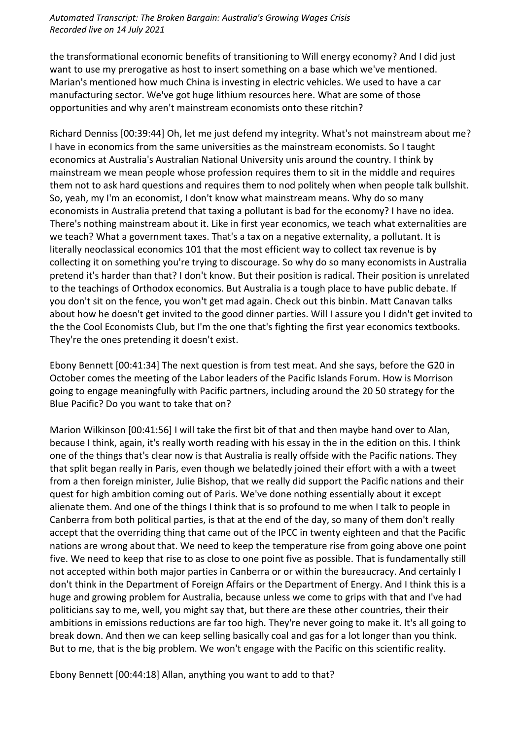the transformational economic benefits of transitioning to Will energy economy? And I did just want to use my prerogative as host to insert something on a base which we've mentioned. Marian's mentioned how much China is investing in electric vehicles. We used to have a car manufacturing sector. We've got huge lithium resources here. What are some of those opportunities and why aren't mainstream economists onto these ritchin?

Richard Denniss [00:39:44] Oh, let me just defend my integrity. What's not mainstream about me? I have in economics from the same universities as the mainstream economists. So I taught economics at Australia's Australian National University unis around the country. I think by mainstream we mean people whose profession requires them to sit in the middle and requires them not to ask hard questions and requires them to nod politely when when people talk bullshit. So, yeah, my I'm an economist, I don't know what mainstream means. Why do so many economists in Australia pretend that taxing a pollutant is bad for the economy? I have no idea. There's nothing mainstream about it. Like in first year economics, we teach what externalities are we teach? What a government taxes. That's a tax on a negative externality, a pollutant. It is literally neoclassical economics 101 that the most efficient way to collect tax revenue is by collecting it on something you're trying to discourage. So why do so many economists in Australia pretend it's harder than that? I don't know. But their position is radical. Their position is unrelated to the teachings of Orthodox economics. But Australia is a tough place to have public debate. If you don't sit on the fence, you won't get mad again. Check out this binbin. Matt Canavan talks about how he doesn't get invited to the good dinner parties. Will I assure you I didn't get invited to the the Cool Economists Club, but I'm the one that's fighting the first year economics textbooks. They're the ones pretending it doesn't exist.

Ebony Bennett [00:41:34] The next question is from test meat. And she says, before the G20 in October comes the meeting of the Labor leaders of the Pacific Islands Forum. How is Morrison going to engage meaningfully with Pacific partners, including around the 20 50 strategy for the Blue Pacific? Do you want to take that on?

Marion Wilkinson [00:41:56] I will take the first bit of that and then maybe hand over to Alan, because I think, again, it's really worth reading with his essay in the in the edition on this. I think one of the things that's clear now is that Australia is really offside with the Pacific nations. They that split began really in Paris, even though we belatedly joined their effort with a with a tweet from a then foreign minister, Julie Bishop, that we really did support the Pacific nations and their quest for high ambition coming out of Paris. We've done nothing essentially about it except alienate them. And one of the things I think that is so profound to me when I talk to people in Canberra from both political parties, is that at the end of the day, so many of them don't really accept that the overriding thing that came out of the IPCC in twenty eighteen and that the Pacific nations are wrong about that. We need to keep the temperature rise from going above one point five. We need to keep that rise to as close to one point five as possible. That is fundamentally still not accepted within both major parties in Canberra or or within the bureaucracy. And certainly I don't think in the Department of Foreign Affairs or the Department of Energy. And I think this is a huge and growing problem for Australia, because unless we come to grips with that and I've had politicians say to me, well, you might say that, but there are these other countries, their their ambitions in emissions reductions are far too high. They're never going to make it. It's all going to break down. And then we can keep selling basically coal and gas for a lot longer than you think. But to me, that is the big problem. We won't engage with the Pacific on this scientific reality.

Ebony Bennett [00:44:18] Allan, anything you want to add to that?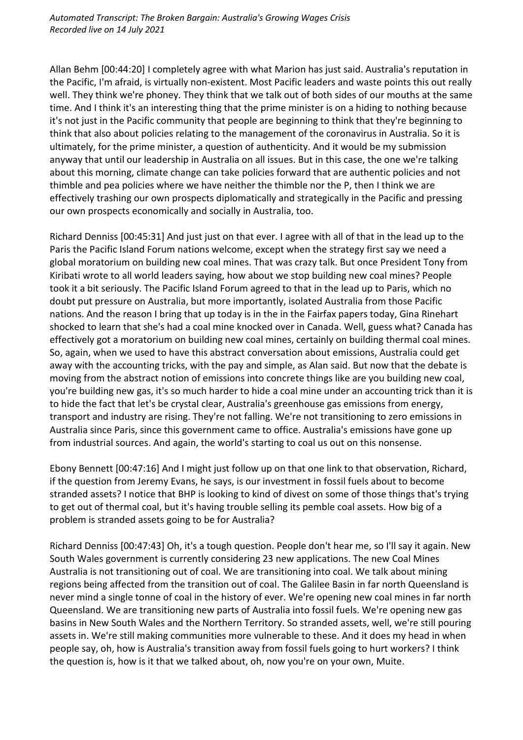Allan Behm [00:44:20] I completely agree with what Marion has just said. Australia's reputation in the Pacific, I'm afraid, is virtually non-existent. Most Pacific leaders and waste points this out really well. They think we're phoney. They think that we talk out of both sides of our mouths at the same time. And I think it's an interesting thing that the prime minister is on a hiding to nothing because it's not just in the Pacific community that people are beginning to think that they're beginning to think that also about policies relating to the management of the coronavirus in Australia. So it is ultimately, for the prime minister, a question of authenticity. And it would be my submission anyway that until our leadership in Australia on all issues. But in this case, the one we're talking about this morning, climate change can take policies forward that are authentic policies and not thimble and pea policies where we have neither the thimble nor the P, then I think we are effectively trashing our own prospects diplomatically and strategically in the Pacific and pressing our own prospects economically and socially in Australia, too.

Richard Denniss [00:45:31] And just just on that ever. I agree with all of that in the lead up to the Paris the Pacific Island Forum nations welcome, except when the strategy first say we need a global moratorium on building new coal mines. That was crazy talk. But once President Tony from Kiribati wrote to all world leaders saying, how about we stop building new coal mines? People took it a bit seriously. The Pacific Island Forum agreed to that in the lead up to Paris, which no doubt put pressure on Australia, but more importantly, isolated Australia from those Pacific nations. And the reason I bring that up today is in the in the Fairfax papers today, Gina Rinehart shocked to learn that she's had a coal mine knocked over in Canada. Well, guess what? Canada has effectively got a moratorium on building new coal mines, certainly on building thermal coal mines. So, again, when we used to have this abstract conversation about emissions, Australia could get away with the accounting tricks, with the pay and simple, as Alan said. But now that the debate is moving from the abstract notion of emissions into concrete things like are you building new coal, you're building new gas, it's so much harder to hide a coal mine under an accounting trick than it is to hide the fact that let's be crystal clear, Australia's greenhouse gas emissions from energy, transport and industry are rising. They're not falling. We're not transitioning to zero emissions in Australia since Paris, since this government came to office. Australia's emissions have gone up from industrial sources. And again, the world's starting to coal us out on this nonsense.

Ebony Bennett [00:47:16] And I might just follow up on that one link to that observation, Richard, if the question from Jeremy Evans, he says, is our investment in fossil fuels about to become stranded assets? I notice that BHP is looking to kind of divest on some of those things that's trying to get out of thermal coal, but it's having trouble selling its pemble coal assets. How big of a problem is stranded assets going to be for Australia?

Richard Denniss [00:47:43] Oh, it's a tough question. People don't hear me, so I'll say it again. New South Wales government is currently considering 23 new applications. The new Coal Mines Australia is not transitioning out of coal. We are transitioning into coal. We talk about mining regions being affected from the transition out of coal. The Galilee Basin in far north Queensland is never mind a single tonne of coal in the history of ever. We're opening new coal mines in far north Queensland. We are transitioning new parts of Australia into fossil fuels. We're opening new gas basins in New South Wales and the Northern Territory. So stranded assets, well, we're still pouring assets in. We're still making communities more vulnerable to these. And it does my head in when people say, oh, how is Australia's transition away from fossil fuels going to hurt workers? I think the question is, how is it that we talked about, oh, now you're on your own, Muite.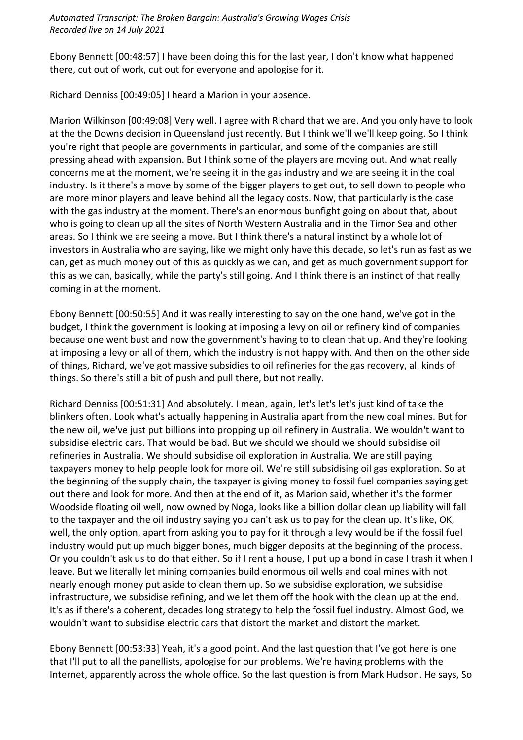Ebony Bennett [00:48:57] I have been doing this for the last year, I don't know what happened there, cut out of work, cut out for everyone and apologise for it.

Richard Denniss [00:49:05] I heard a Marion in your absence.

Marion Wilkinson [00:49:08] Very well. I agree with Richard that we are. And you only have to look at the the Downs decision in Queensland just recently. But I think we'll we'll keep going. So I think you're right that people are governments in particular, and some of the companies are still pressing ahead with expansion. But I think some of the players are moving out. And what really concerns me at the moment, we're seeing it in the gas industry and we are seeing it in the coal industry. Is it there's a move by some of the bigger players to get out, to sell down to people who are more minor players and leave behind all the legacy costs. Now, that particularly is the case with the gas industry at the moment. There's an enormous bunfight going on about that, about who is going to clean up all the sites of North Western Australia and in the Timor Sea and other areas. So I think we are seeing a move. But I think there's a natural instinct by a whole lot of investors in Australia who are saying, like we might only have this decade, so let's run as fast as we can, get as much money out of this as quickly as we can, and get as much government support for this as we can, basically, while the party's still going. And I think there is an instinct of that really coming in at the moment.

Ebony Bennett [00:50:55] And it was really interesting to say on the one hand, we've got in the budget, I think the government is looking at imposing a levy on oil or refinery kind of companies because one went bust and now the government's having to to clean that up. And they're looking at imposing a levy on all of them, which the industry is not happy with. And then on the other side of things, Richard, we've got massive subsidies to oil refineries for the gas recovery, all kinds of things. So there's still a bit of push and pull there, but not really.

Richard Denniss [00:51:31] And absolutely. I mean, again, let's let's let's just kind of take the blinkers often. Look what's actually happening in Australia apart from the new coal mines. But for the new oil, we've just put billions into propping up oil refinery in Australia. We wouldn't want to subsidise electric cars. That would be bad. But we should we should we should subsidise oil refineries in Australia. We should subsidise oil exploration in Australia. We are still paying taxpayers money to help people look for more oil. We're still subsidising oil gas exploration. So at the beginning of the supply chain, the taxpayer is giving money to fossil fuel companies saying get out there and look for more. And then at the end of it, as Marion said, whether it's the former Woodside floating oil well, now owned by Noga, looks like a billion dollar clean up liability will fall to the taxpayer and the oil industry saying you can't ask us to pay for the clean up. It's like, OK, well, the only option, apart from asking you to pay for it through a levy would be if the fossil fuel industry would put up much bigger bones, much bigger deposits at the beginning of the process. Or you couldn't ask us to do that either. So if I rent a house, I put up a bond in case I trash it when I leave. But we literally let mining companies build enormous oil wells and coal mines with not nearly enough money put aside to clean them up. So we subsidise exploration, we subsidise infrastructure, we subsidise refining, and we let them off the hook with the clean up at the end. It's as if there's a coherent, decades long strategy to help the fossil fuel industry. Almost God, we wouldn't want to subsidise electric cars that distort the market and distort the market.

Ebony Bennett [00:53:33] Yeah, it's a good point. And the last question that I've got here is one that I'll put to all the panellists, apologise for our problems. We're having problems with the Internet, apparently across the whole office. So the last question is from Mark Hudson. He says, So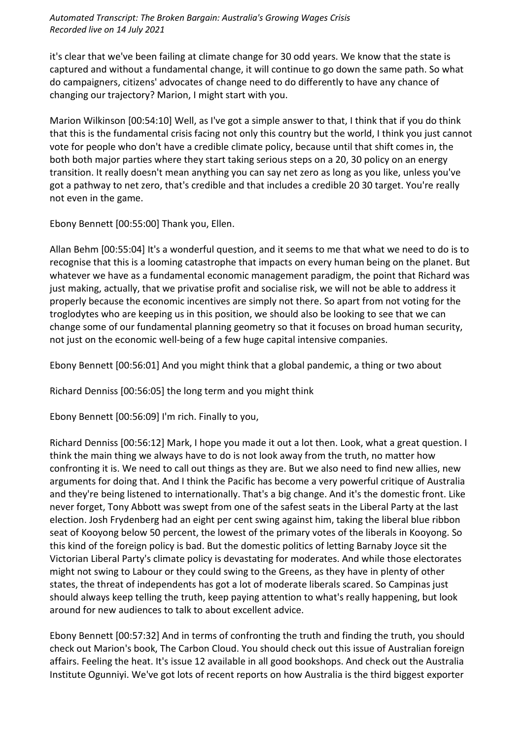it's clear that we've been failing at climate change for 30 odd years. We know that the state is captured and without a fundamental change, it will continue to go down the same path. So what do campaigners, citizens' advocates of change need to do differently to have any chance of changing our trajectory? Marion, I might start with you.

Marion Wilkinson [00:54:10] Well, as I've got a simple answer to that, I think that if you do think that this is the fundamental crisis facing not only this country but the world, I think you just cannot vote for people who don't have a credible climate policy, because until that shift comes in, the both both major parties where they start taking serious steps on a 20, 30 policy on an energy transition. It really doesn't mean anything you can say net zero as long as you like, unless you've got a pathway to net zero, that's credible and that includes a credible 20 30 target. You're really not even in the game.

Ebony Bennett [00:55:00] Thank you, Ellen.

Allan Behm [00:55:04] It's a wonderful question, and it seems to me that what we need to do is to recognise that this is a looming catastrophe that impacts on every human being on the planet. But whatever we have as a fundamental economic management paradigm, the point that Richard was just making, actually, that we privatise profit and socialise risk, we will not be able to address it properly because the economic incentives are simply not there. So apart from not voting for the troglodytes who are keeping us in this position, we should also be looking to see that we can change some of our fundamental planning geometry so that it focuses on broad human security, not just on the economic well-being of a few huge capital intensive companies.

Ebony Bennett [00:56:01] And you might think that a global pandemic, a thing or two about

Richard Denniss [00:56:05] the long term and you might think

Ebony Bennett [00:56:09] I'm rich. Finally to you,

Richard Denniss [00:56:12] Mark, I hope you made it out a lot then. Look, what a great question. I think the main thing we always have to do is not look away from the truth, no matter how confronting it is. We need to call out things as they are. But we also need to find new allies, new arguments for doing that. And I think the Pacific has become a very powerful critique of Australia and they're being listened to internationally. That's a big change. And it's the domestic front. Like never forget, Tony Abbott was swept from one of the safest seats in the Liberal Party at the last election. Josh Frydenberg had an eight per cent swing against him, taking the liberal blue ribbon seat of Kooyong below 50 percent, the lowest of the primary votes of the liberals in Kooyong. So this kind of the foreign policy is bad. But the domestic politics of letting Barnaby Joyce sit the Victorian Liberal Party's climate policy is devastating for moderates. And while those electorates might not swing to Labour or they could swing to the Greens, as they have in plenty of other states, the threat of independents has got a lot of moderate liberals scared. So Campinas just should always keep telling the truth, keep paying attention to what's really happening, but look around for new audiences to talk to about excellent advice.

Ebony Bennett [00:57:32] And in terms of confronting the truth and finding the truth, you should check out Marion's book, The Carbon Cloud. You should check out this issue of Australian foreign affairs. Feeling the heat. It's issue 12 available in all good bookshops. And check out the Australia Institute Ogunniyi. We've got lots of recent reports on how Australia is the third biggest exporter